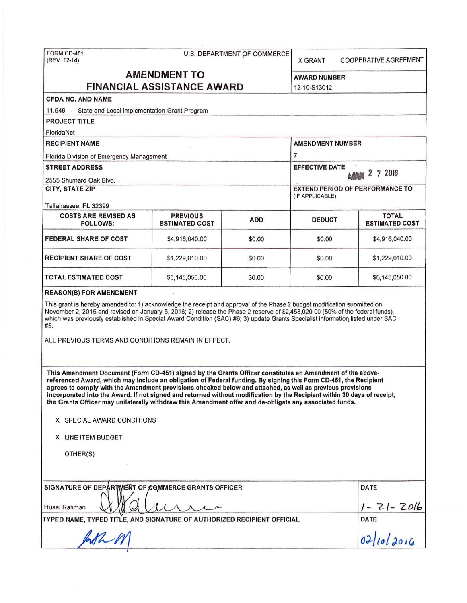| FORM CD-451<br>(REV. 12-14)                                                                                                                                                                                                                                                                                                                                                                                                                                                                                                                                                       |                                          |                             |                                                           |                                       |  |
|-----------------------------------------------------------------------------------------------------------------------------------------------------------------------------------------------------------------------------------------------------------------------------------------------------------------------------------------------------------------------------------------------------------------------------------------------------------------------------------------------------------------------------------------------------------------------------------|------------------------------------------|-----------------------------|-----------------------------------------------------------|---------------------------------------|--|
|                                                                                                                                                                                                                                                                                                                                                                                                                                                                                                                                                                                   |                                          | U.S. DEPARTMENT OF COMMERCE | <b>X GRANT</b>                                            | COOPERATIVE AGREEMENT                 |  |
| <b>AMENDMENT TO</b>                                                                                                                                                                                                                                                                                                                                                                                                                                                                                                                                                               |                                          |                             | <b>AWARD NUMBER</b>                                       |                                       |  |
| <b>FINANCIAL ASSISTANCE AWARD</b>                                                                                                                                                                                                                                                                                                                                                                                                                                                                                                                                                 |                                          |                             | 12-10-S13012                                              |                                       |  |
| <b>CFDA NO. AND NAME</b>                                                                                                                                                                                                                                                                                                                                                                                                                                                                                                                                                          |                                          |                             |                                                           |                                       |  |
| 11.549 - State and Local Implementation Grant Program                                                                                                                                                                                                                                                                                                                                                                                                                                                                                                                             |                                          |                             |                                                           |                                       |  |
| <b>PROJECT TITLE</b>                                                                                                                                                                                                                                                                                                                                                                                                                                                                                                                                                              |                                          |                             |                                                           |                                       |  |
| FloridaNet                                                                                                                                                                                                                                                                                                                                                                                                                                                                                                                                                                        |                                          |                             |                                                           |                                       |  |
| <b>RECIPIENT NAME</b>                                                                                                                                                                                                                                                                                                                                                                                                                                                                                                                                                             |                                          |                             | <b>AMENDMENT NUMBER</b>                                   |                                       |  |
| Florida Division of Emergency Management<br><b>STREET ADDRESS</b>                                                                                                                                                                                                                                                                                                                                                                                                                                                                                                                 |                                          |                             | $\overline{7}$                                            |                                       |  |
|                                                                                                                                                                                                                                                                                                                                                                                                                                                                                                                                                                                   |                                          |                             | <b>EFFECTIVE DATE</b><br>7 2016<br>Z                      |                                       |  |
| 2555 Shumard Oak Blvd.                                                                                                                                                                                                                                                                                                                                                                                                                                                                                                                                                            |                                          |                             | <b>EXTEND PERIOD OF PERFORMANCE TO</b><br>(IF APPLICABLE) |                                       |  |
| <b>CITY, STATE ZIP</b>                                                                                                                                                                                                                                                                                                                                                                                                                                                                                                                                                            |                                          |                             |                                                           |                                       |  |
| Tallahassee, FL 32399                                                                                                                                                                                                                                                                                                                                                                                                                                                                                                                                                             |                                          |                             |                                                           |                                       |  |
| <b>COSTS ARE REVISED AS</b><br><b>FOLLOWS:</b>                                                                                                                                                                                                                                                                                                                                                                                                                                                                                                                                    | <b>PREVIOUS</b><br><b>ESTIMATED COST</b> | <b>ADD</b>                  | <b>DEDUCT</b>                                             | <b>TOTAL</b><br><b>ESTIMATED COST</b> |  |
| <b>FEDERAL SHARE OF COST</b>                                                                                                                                                                                                                                                                                                                                                                                                                                                                                                                                                      | \$4,916,040.00                           | \$0.00                      | \$0.00                                                    | \$4,916,040.00                        |  |
| <b>RECIPIENT SHARE OF COST</b>                                                                                                                                                                                                                                                                                                                                                                                                                                                                                                                                                    | \$1,229,010.00                           | \$0.00                      | \$0.00                                                    | \$1,229,010.00                        |  |
| <b>TOTAL ESTIMATED COST</b>                                                                                                                                                                                                                                                                                                                                                                                                                                                                                                                                                       | \$6,145,050.00                           | \$0.00                      | \$0.00                                                    | \$6,145,050.00                        |  |
| ALL PREVIOUS TERMS AND CONDITIONS REMAIN IN EFFECT.                                                                                                                                                                                                                                                                                                                                                                                                                                                                                                                               |                                          |                             |                                                           |                                       |  |
|                                                                                                                                                                                                                                                                                                                                                                                                                                                                                                                                                                                   |                                          |                             |                                                           |                                       |  |
|                                                                                                                                                                                                                                                                                                                                                                                                                                                                                                                                                                                   |                                          |                             |                                                           |                                       |  |
| X SPECIAL AWARD CONDITIONS                                                                                                                                                                                                                                                                                                                                                                                                                                                                                                                                                        |                                          |                             |                                                           |                                       |  |
| X LINE ITEM BUDGET                                                                                                                                                                                                                                                                                                                                                                                                                                                                                                                                                                |                                          |                             |                                                           |                                       |  |
| OTHER(S)                                                                                                                                                                                                                                                                                                                                                                                                                                                                                                                                                                          |                                          |                             |                                                           |                                       |  |
| This Amendment Document (Form CD-451) signed by the Grants Officer constitutes an Amendment of the above-<br>referenced Award, which may include an obligation of Federal funding. By signing this Form CD-451, the Recipient<br>agrees to comply with the Amendment provisions checked below and attached, as well as previous provisions<br>incorporated into the Award. If not signed and returned without modification by the Recipient within 30 days of receipt,<br>the Grants Officer may unilaterally withdraw this Amendment offer and de-obligate any associated funds. |                                          |                             |                                                           | DATE                                  |  |
| SIGNATURE OF DEPARTMENT OF COMMERCE GRANTS OFFICER                                                                                                                                                                                                                                                                                                                                                                                                                                                                                                                                |                                          |                             |                                                           |                                       |  |
| Husai Rahman<br>TYPED NAME, TYPED TITLE, AND SIGNATURE OF AUTHORIZED RECIPIENT OFFICIAL                                                                                                                                                                                                                                                                                                                                                                                                                                                                                           |                                          |                             |                                                           | 1 - 21 - 2016<br>DATE                 |  |